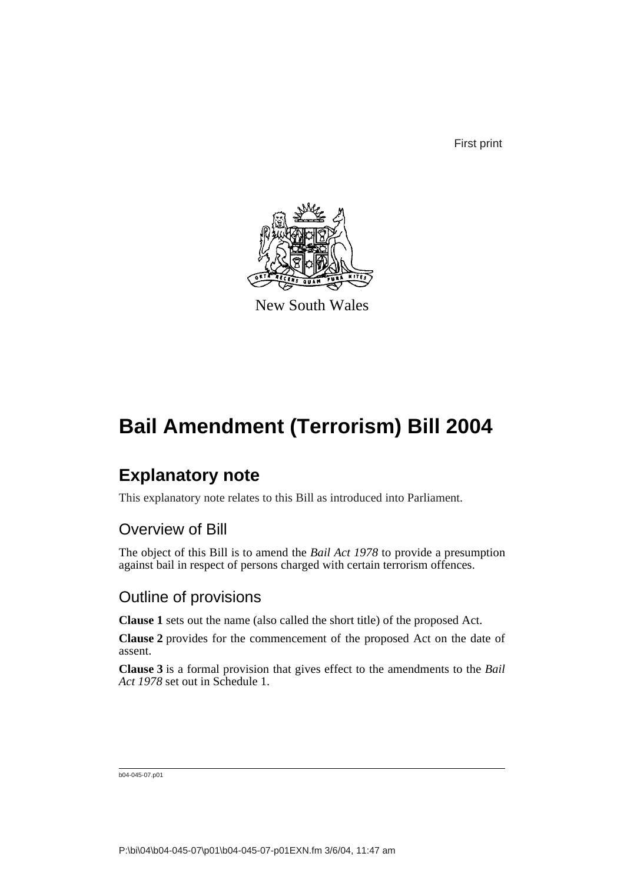First print



New South Wales

## **Bail Amendment (Terrorism) Bill 2004**

### **Explanatory note**

This explanatory note relates to this Bill as introduced into Parliament.

### Overview of Bill

The object of this Bill is to amend the *Bail Act 1978* to provide a presumption against bail in respect of persons charged with certain terrorism offences.

### Outline of provisions

**Clause 1** sets out the name (also called the short title) of the proposed Act.

**Clause 2** provides for the commencement of the proposed Act on the date of assent.

**Clause 3** is a formal provision that gives effect to the amendments to the *Bail Act 1978* set out in Schedule 1.

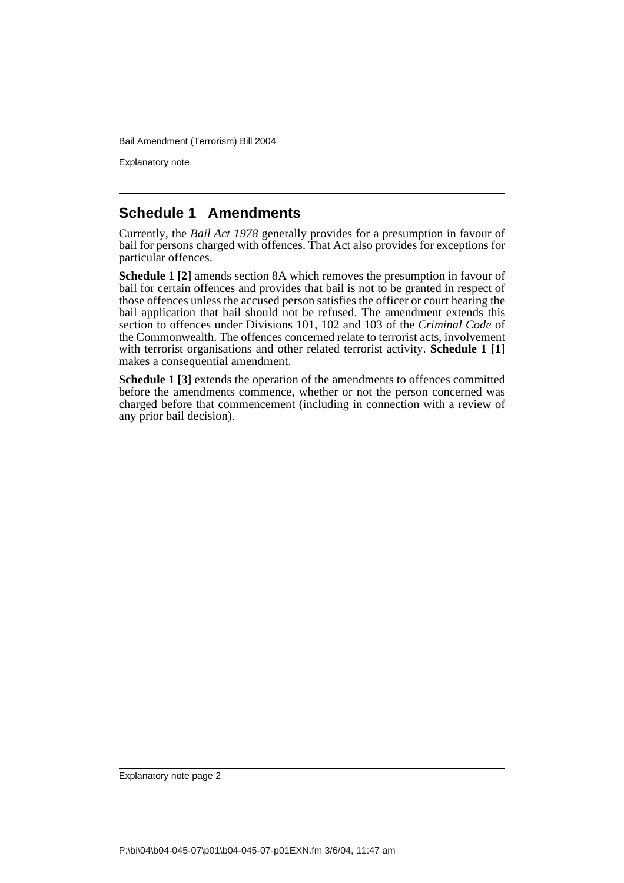Bail Amendment (Terrorism) Bill 2004

Explanatory note

#### **Schedule 1 Amendments**

Currently, the *Bail Act 1978* generally provides for a presumption in favour of bail for persons charged with offences. That Act also provides for exceptions for particular offences.

**Schedule 1 [2]** amends section 8A which removes the presumption in favour of bail for certain offences and provides that bail is not to be granted in respect of those offences unless the accused person satisfies the officer or court hearing the bail application that bail should not be refused. The amendment extends this section to offences under Divisions 101, 102 and 103 of the *Criminal Code* of the Commonwealth. The offences concerned relate to terrorist acts, involvement with terrorist organisations and other related terrorist activity. **Schedule 1 [1]** makes a consequential amendment.

**Schedule 1 [3]** extends the operation of the amendments to offences committed before the amendments commence, whether or not the person concerned was charged before that commencement (including in connection with a review of any prior bail decision).

Explanatory note page 2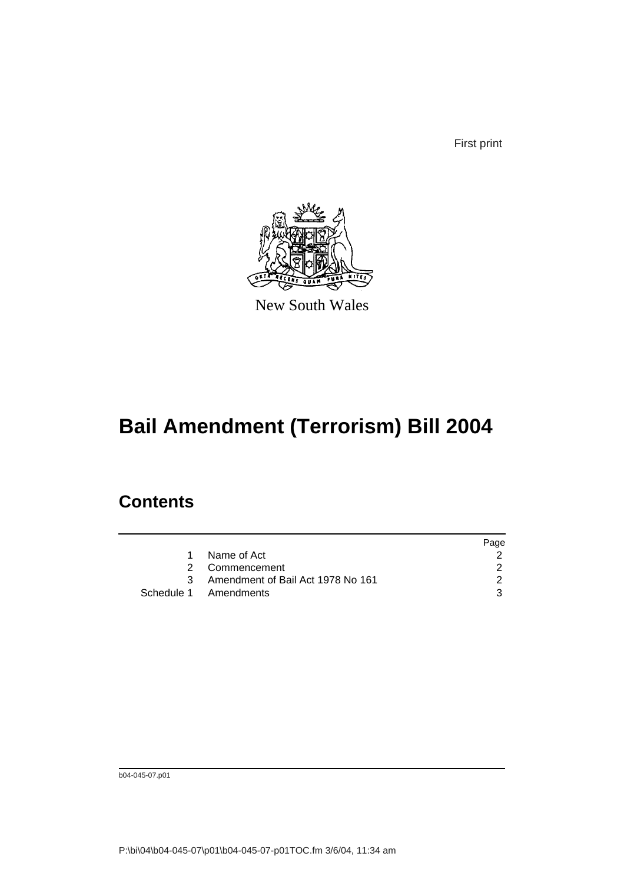First print



New South Wales

# **Bail Amendment (Terrorism) Bill 2004**

### **Contents**

|     |                                   | Page |
|-----|-----------------------------------|------|
|     | 1 Name of Act                     |      |
|     | 2 Commencement                    |      |
| ़ २ | Amendment of Bail Act 1978 No 161 |      |
|     | Schedule 1 Amendments             |      |

b04-045-07.p01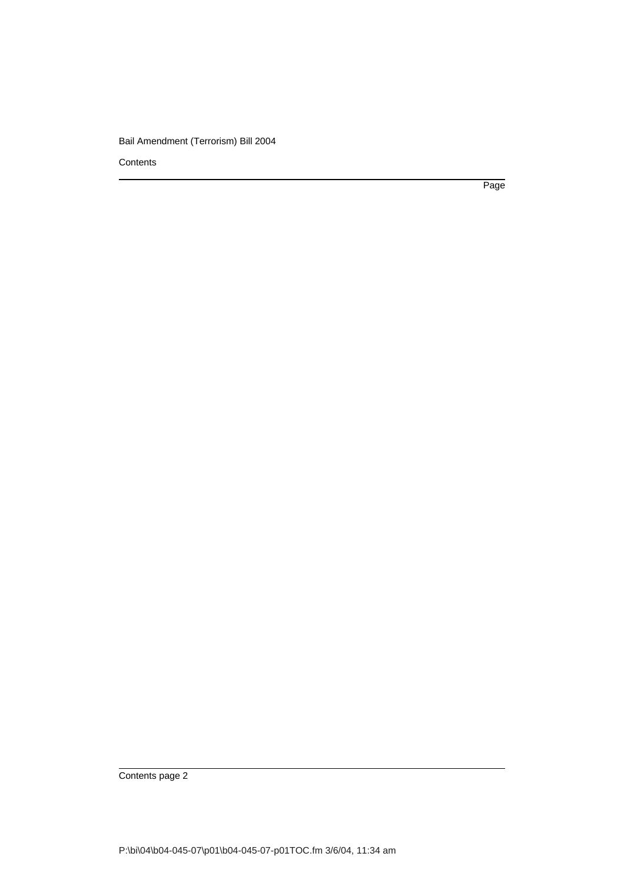#### Bail Amendment (Terrorism) Bill 2004

**Contents** 

Page

Contents page 2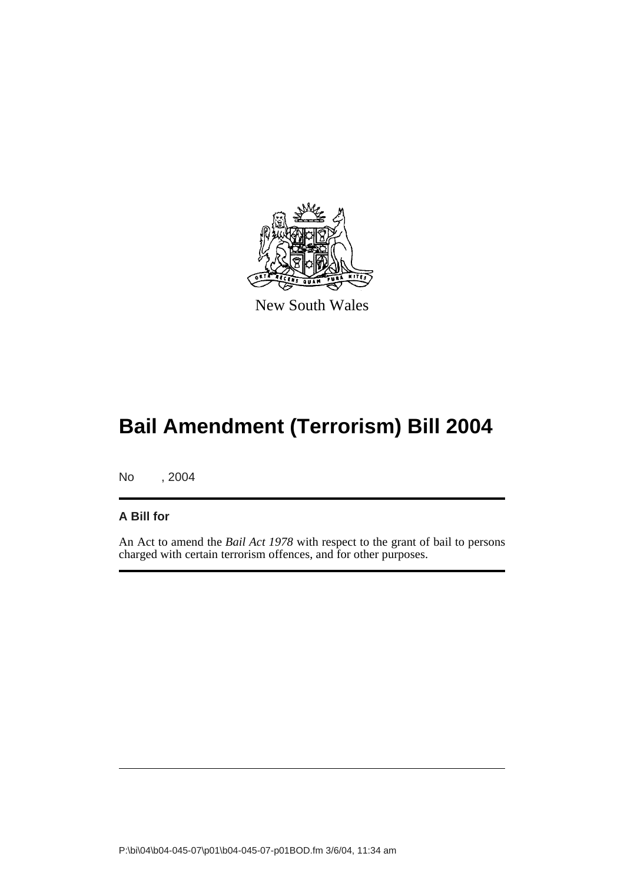

New South Wales

## **Bail Amendment (Terrorism) Bill 2004**

No , 2004

#### **A Bill for**

An Act to amend the *Bail Act 1978* with respect to the grant of bail to persons charged with certain terrorism offences, and for other purposes.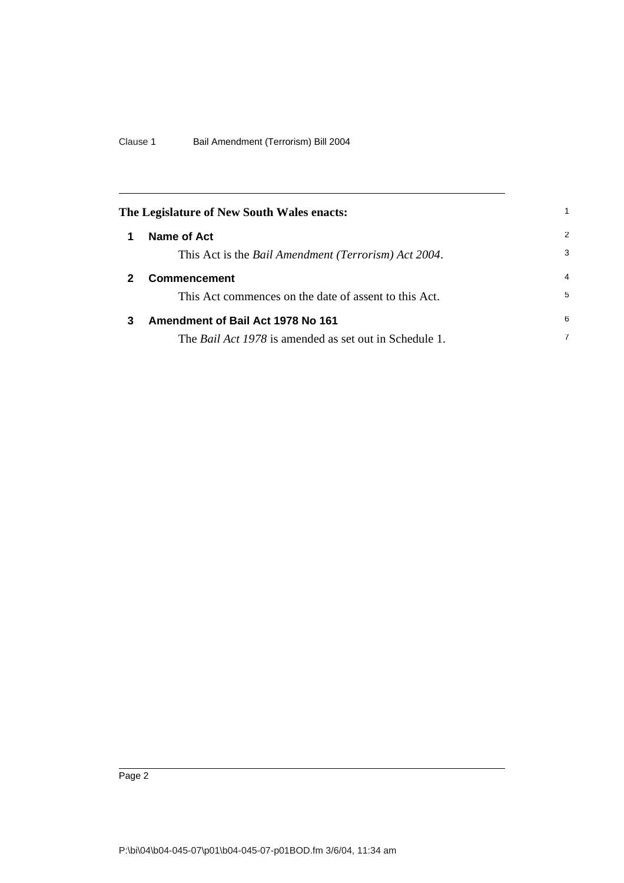| The Legislature of New South Wales enacts: |                                                               |                |
|--------------------------------------------|---------------------------------------------------------------|----------------|
|                                            | Name of Act                                                   | 2              |
|                                            | This Act is the <i>Bail Amendment (Terrorism) Act 2004</i> .  | 3              |
| 2                                          | <b>Commencement</b>                                           | $\overline{4}$ |
|                                            | This Act commences on the date of assent to this Act.         | 5              |
| 3                                          | Amendment of Bail Act 1978 No 161                             | 6              |
|                                            | The <i>Bail Act 1978</i> is amended as set out in Schedule 1. | 7              |